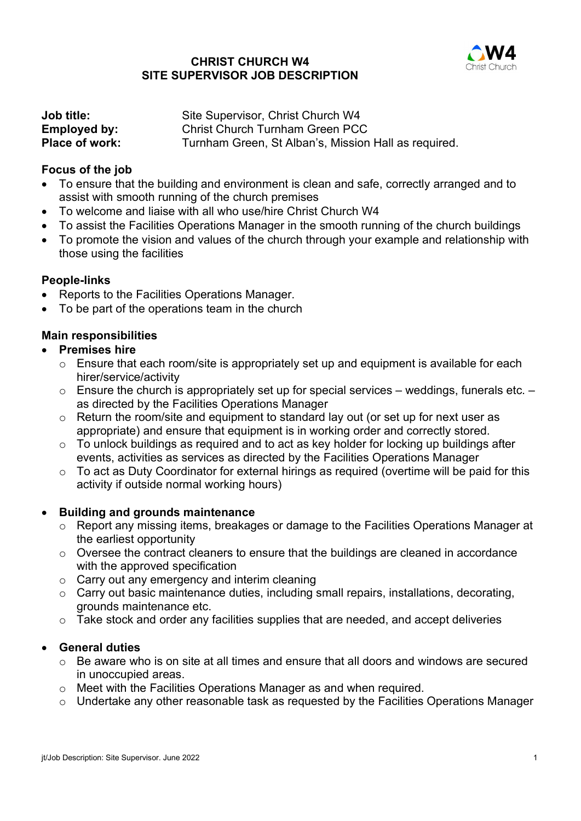## CHRIST CHURCH W4 SITE SUPERVISOR JOB DESCRIPTION



| <b>Job title:</b> | Site Supervisor, Christ Church W4                    |
|-------------------|------------------------------------------------------|
| Employed by:      | <b>Christ Church Turnham Green PCC</b>               |
| Place of work:    | Turnham Green, St Alban's, Mission Hall as required. |

### Focus of the job

- To ensure that the building and environment is clean and safe, correctly arranged and to assist with smooth running of the church premises
- To welcome and liaise with all who use/hire Christ Church W4
- To assist the Facilities Operations Manager in the smooth running of the church buildings
- To promote the vision and values of the church through your example and relationship with those using the facilities

### People-links

- Reports to the Facilities Operations Manager.
- To be part of the operations team in the church

### Main responsibilities

- Premises hire
	- $\circ$  Ensure that each room/site is appropriately set up and equipment is available for each hirer/service/activity
	- $\circ$  Ensure the church is appropriately set up for special services weddings, funerals etc. as directed by the Facilities Operations Manager
	- o Return the room/site and equipment to standard lay out (or set up for next user as appropriate) and ensure that equipment is in working order and correctly stored.
	- o To unlock buildings as required and to act as key holder for locking up buildings after events, activities as services as directed by the Facilities Operations Manager
	- o To act as Duty Coordinator for external hirings as required (overtime will be paid for this activity if outside normal working hours)

### Building and grounds maintenance

- o Report any missing items, breakages or damage to the Facilities Operations Manager at the earliest opportunity
- o Oversee the contract cleaners to ensure that the buildings are cleaned in accordance with the approved specification
- o Carry out any emergency and interim cleaning
- o Carry out basic maintenance duties, including small repairs, installations, decorating, grounds maintenance etc.
- o Take stock and order any facilities supplies that are needed, and accept deliveries

### General duties

- $\circ$  Be aware who is on site at all times and ensure that all doors and windows are secured in unoccupied areas.
- o Meet with the Facilities Operations Manager as and when required.
- o Undertake any other reasonable task as requested by the Facilities Operations Manager